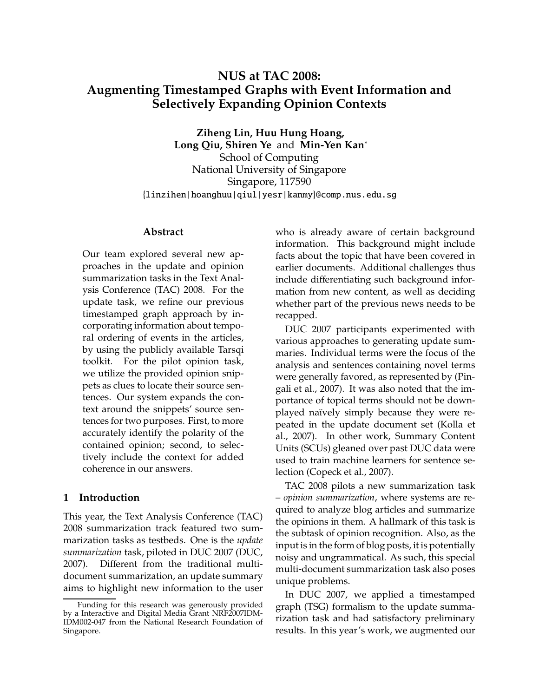# **NUS at TAC 2008: Augmenting Timestamped Graphs with Event Information and Selectively Expanding Opinion Contexts**

**Ziheng Lin, Huu Hung Hoang, Long Qiu, Shiren Ye** and **Min-Yen Kan**<sup>∗</sup> School of Computing National University of Singapore Singapore, 117590 {linzihen|hoanghuu|qiul|yesr|kanmy}@comp.nus.edu.sg

#### **Abstract**

Our team explored several new approaches in the update and opinion summarization tasks in the Text Analysis Conference (TAC) 2008. For the update task, we refine our previous timestamped graph approach by incorporating information about temporal ordering of events in the articles, by using the publicly available Tarsqi toolkit. For the pilot opinion task, we utilize the provided opinion snippets as clues to locate their source sentences. Our system expands the context around the snippets' source sentences for two purposes. First, to more accurately identify the polarity of the contained opinion; second, to selectively include the context for added coherence in our answers.

## **1 Introduction**

This year, the Text Analysis Conference (TAC) 2008 summarization track featured two summarization tasks as testbeds. One is the *update summarization* task, piloted in DUC 2007 (DUC, 2007). Different from the traditional multidocument summarization, an update summary aims to highlight new information to the user who is already aware of certain background information. This background might include facts about the topic that have been covered in earlier documents. Additional challenges thus include differentiating such background information from new content, as well as deciding whether part of the previous news needs to be recapped.

DUC 2007 participants experimented with various approaches to generating update summaries. Individual terms were the focus of the analysis and sentences containing novel terms were generally favored, as represented by (Pingali et al., 2007). It was also noted that the importance of topical terms should not be downplayed naïvely simply because they were repeated in the update document set (Kolla et al., 2007). In other work, Summary Content Units (SCUs) gleaned over past DUC data were used to train machine learners for sentence selection (Copeck et al., 2007).

TAC 2008 pilots a new summarization task – *opinion summarization*, where systems are required to analyze blog articles and summarize the opinions in them. A hallmark of this task is the subtask of opinion recognition. Also, as the input is in the form of blog posts, it is potentially noisy and ungrammatical. As such, this special multi-document summarization task also poses unique problems.

In DUC 2007, we applied a timestamped graph (TSG) formalism to the update summarization task and had satisfactory preliminary results. In this year's work, we augmented our

Funding for this research was generously provided by a Interactive and Digital Media Grant NRF2007IDM-IDM002-047 from the National Research Foundation of Singapore.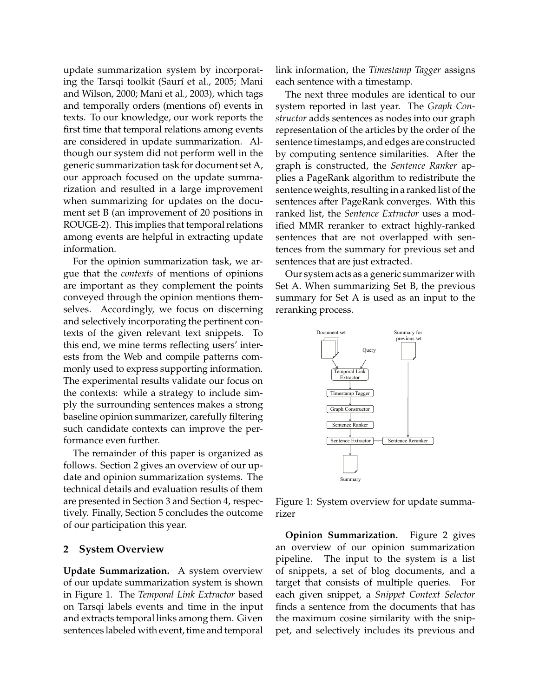update summarization system by incorporating the Tarsqi toolkit (Saurí et al., 2005; Mani and Wilson, 2000; Mani et al., 2003), which tags and temporally orders (mentions of) events in texts. To our knowledge, our work reports the first time that temporal relations among events are considered in update summarization. Although our system did not perform well in the generic summarization task for document set A, our approach focused on the update summarization and resulted in a large improvement when summarizing for updates on the document set B (an improvement of 20 positions in ROUGE-2). This implies that temporal relations among events are helpful in extracting update information.

For the opinion summarization task, we argue that the *contexts* of mentions of opinions are important as they complement the points conveyed through the opinion mentions themselves. Accordingly, we focus on discerning and selectively incorporating the pertinent contexts of the given relevant text snippets. To this end, we mine terms reflecting users' interests from the Web and compile patterns commonly used to express supporting information. The experimental results validate our focus on the contexts: while a strategy to include simply the surrounding sentences makes a strong baseline opinion summarizer, carefully filtering such candidate contexts can improve the performance even further.

The remainder of this paper is organized as follows. Section 2 gives an overview of our update and opinion summarization systems. The technical details and evaluation results of them are presented in Section 3 and Section 4, respectively. Finally, Section 5 concludes the outcome of our participation this year.

#### **2 System Overview**

**Update Summarization.** A system overview of our update summarization system is shown in Figure 1. The *Temporal Link Extractor* based on Tarsqi labels events and time in the input and extracts temporal links among them. Given sentences labeled with event, time and temporal

link information, the *Timestamp Tagger* assigns each sentence with a timestamp.

The next three modules are identical to our system reported in last year. The *Graph Constructor* adds sentences as nodes into our graph representation of the articles by the order of the sentence timestamps, and edges are constructed by computing sentence similarities. After the graph is constructed, the *Sentence Ranker* applies a PageRank algorithm to redistribute the sentence weights, resulting in a ranked list of the sentences after PageRank converges. With this ranked list, the *Sentence Extractor* uses a modified MMR reranker to extract highly-ranked sentences that are not overlapped with sentences from the summary for previous set and sentences that are just extracted.

Our system acts as a generic summarizer with Set A. When summarizing Set B, the previous summary for Set A is used as an input to the reranking process.



Figure 1: System overview for update summarizer

**Opinion Summarization.** Figure 2 gives an overview of our opinion summarization pipeline. The input to the system is a list of snippets, a set of blog documents, and a target that consists of multiple queries. For each given snippet, a *Snippet Context Selector* finds a sentence from the documents that has the maximum cosine similarity with the snippet, and selectively includes its previous and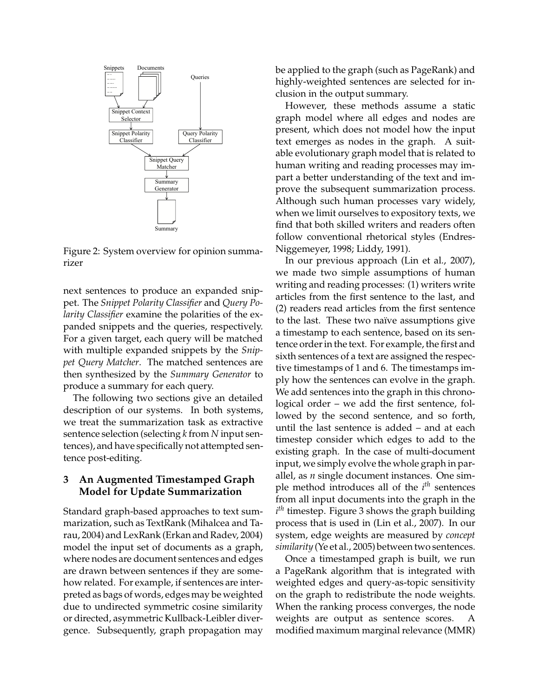

Figure 2: System overview for opinion summarizer

next sentences to produce an expanded snippet. The *Snippet Polarity Classifier* and *Query Polarity Classifier* examine the polarities of the expanded snippets and the queries, respectively. For a given target, each query will be matched with multiple expanded snippets by the *Snippet Query Matcher*. The matched sentences are then synthesized by the *Summary Generator* to produce a summary for each query.

The following two sections give an detailed description of our systems. In both systems, we treat the summarization task as extractive sentence selection (selecting *k* from *N* input sentences), and have specifically not attempted sentence post-editing.

## **3 An Augmented Timestamped Graph Model for Update Summarization**

Standard graph-based approaches to text summarization, such as TextRank (Mihalcea and Tarau, 2004) and LexRank (Erkan and Radev, 2004) model the input set of documents as a graph, where nodes are document sentences and edges are drawn between sentences if they are somehow related. For example, if sentences are interpreted as bags of words, edges may be weighted due to undirected symmetric cosine similarity or directed, asymmetric Kullback-Leibler divergence. Subsequently, graph propagation may

be applied to the graph (such as PageRank) and highly-weighted sentences are selected for inclusion in the output summary.

However, these methods assume a static graph model where all edges and nodes are present, which does not model how the input text emerges as nodes in the graph. A suitable evolutionary graph model that is related to human writing and reading processes may impart a better understanding of the text and improve the subsequent summarization process. Although such human processes vary widely, when we limit ourselves to expository texts, we find that both skilled writers and readers often follow conventional rhetorical styles (Endres-Niggemeyer, 1998; Liddy, 1991).

In our previous approach (Lin et al., 2007), we made two simple assumptions of human writing and reading processes: (1) writers write articles from the first sentence to the last, and (2) readers read articles from the first sentence to the last. These two naïve assumptions give a timestamp to each sentence, based on its sentence order in the text. For example, the first and sixth sentences of a text are assigned the respective timestamps of 1 and 6. The timestamps imply how the sentences can evolve in the graph. We add sentences into the graph in this chronological order – we add the first sentence, followed by the second sentence, and so forth, until the last sentence is added – and at each timestep consider which edges to add to the existing graph. In the case of multi-document input, we simply evolve the whole graph in parallel, as *n* single document instances. One simple method introduces all of the *i th* sentences from all input documents into the graph in the *i th* timestep. Figure 3 shows the graph building process that is used in (Lin et al., 2007). In our system, edge weights are measured by *concept similarity* (Ye et al., 2005) between two sentences.

Once a timestamped graph is built, we run a PageRank algorithm that is integrated with weighted edges and query-as-topic sensitivity on the graph to redistribute the node weights. When the ranking process converges, the node weights are output as sentence scores. A modified maximum marginal relevance (MMR)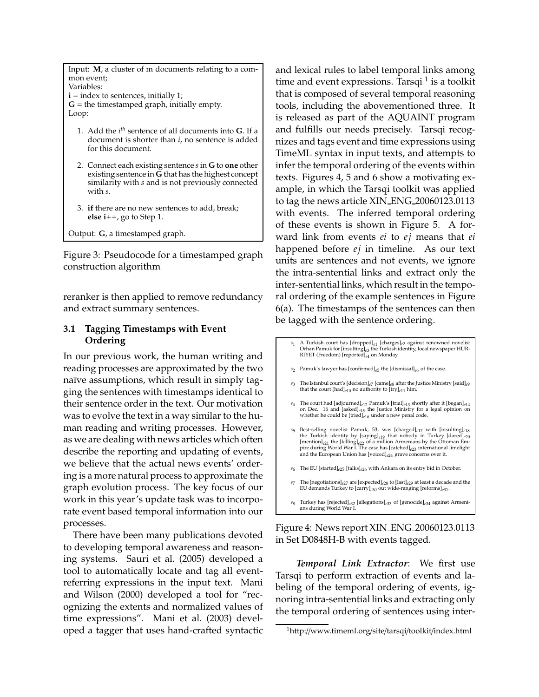Input: **M**, a cluster of m documents relating to a common event; Variables: **i** = index to sentences, initially 1;  $G =$  the timestamped graph, initially empty. Loop:

- 1. Add the *i th* sentence of all documents into **G**. If a document is shorter than *i*, no sentence is added for this document.
- 2. Connect each existing sentence *s*in **G** to **one** other existing sentence in **G** that has the highest concept similarity with *s* and is not previously connected with *s*.
- 3. **if** there are no new sentences to add, break; **else i**++, go to Step 1.

Output: **G**, a timestamped graph.

Figure 3: Pseudocode for a timestamped graph construction algorithm

reranker is then applied to remove redundancy and extract summary sentences.

# **3.1 Tagging Timestamps with Event Ordering**

In our previous work, the human writing and reading processes are approximated by the two naïve assumptions, which result in simply tagging the sentences with timestamps identical to their sentence order in the text. Our motivation was to evolve the text in a way similar to the human reading and writing processes. However, as we are dealing with news articles which often describe the reporting and updating of events, we believe that the actual news events' ordering is a more natural process to approximate the graph evolution process. The key focus of our work in this year's update task was to incorporate event based temporal information into our processes.

There have been many publications devoted to developing temporal awareness and reasoning systems. Sauri et al. (2005) developed a tool to automatically locate and tag all eventreferring expressions in the input text. Mani and Wilson (2000) developed a tool for "recognizing the extents and normalized values of time expressions". Mani et al. (2003) developed a tagger that uses hand-crafted syntactic

and lexical rules to label temporal links among time and event expressions. Tarsqi  $^1$  is a toolkit that is composed of several temporal reasoning tools, including the abovementioned three. It is released as part of the AQUAINT program and fulfills our needs precisely. Tarsqi recognizes and tags event and time expressions using TimeML syntax in input texts, and attempts to infer the temporal ordering of the events within texts. Figures 4, 5 and 6 show a motivating example, in which the Tarsqi toolkit was applied to tag the news article XIN ENG 20060123.0113 with events. The inferred temporal ordering of these events is shown in Figure 5. A forward link from events *ei* to *ej* means that *ei* happened before *ej* in timeline. As our text units are sentences and not events, we ignore the intra-sentential links and extract only the inter-sentential links, which result in the temporal ordering of the example sentences in Figure 6(a). The timestamps of the sentences can then be tagged with the sentence ordering.

- *s*<sup>1</sup> A Turkish court has [dropped]*e*<sup>1</sup> [charges]*e*2 against renowned novelist Orhan Pamuk for [insulting]*e*3 the Turkish identity, local newspaper HUR-RIYET (Freedom) [reported]*e*<sup>4</sup> on Monday.
- *s*2 Pamuk's lawyer has [confirmed]*e*5 the [dismissal]*e*6 of the case.
- *s*3 The Istanbul court's [decision]*e*7 [came]*e*8 after the Justice Ministry [said]*e*9 that the court [had]*e*<sup>10</sup> no authority to [try]*e*<sup>11</sup> him.
- $s_4$  The court had [adjourned]<sub>e12</sub> Pamuk's [trial]<sub>e13</sub> shortly after it [began]<sub>e14</sub> on Dec. 16 and [asked]<sub>e15</sub> the Justice Ministry for a legal opinion on whether he could be [tried]<sub>e16</sub> under a new penal code.
- *s*<sup>5</sup> Best-selling novelist Pamuk, 53, was [charged]*e*<sup>17</sup> with [insulting]*e*<sup>18</sup> the Turkish identity by [saying]<sub>e19</sub> that nobody in Turkey [dared]<sub>e20</sub><br>[mention]<sub>e21</sub> the [killing]<sub>e22</sub> of a million Armenians by the Ottoman Em-<br>pire during World War I. The case has [catched]<sub>e23</sub> international limeli and the European Union has [voiced]*e*<sup>24</sup> grave concerns over it.
- *s*6 The EU [started]*e*25 [talks]*e*26 with Ankara on its entry bid in October.
- *s*7 The [negotiations]*e*27 are [expected]*e*28 to [last]*e*29 at least a decade and the EU demands Turkey to [carry]*e*<sup>30</sup> out wide-ranging [reforms]*e*31.
- *s*<sup>8</sup> Turkey has [rejected]*e*<sup>32</sup> [allegations]*e*<sup>33</sup> of [genocide]*e*<sup>34</sup> against Armenians during World War I.

Figure 4: News report XIN ENG 20060123.0113 in Set D0848H-B with events tagged.

*Temporal Link Extractor*: We first use Tarsqi to perform extraction of events and labeling of the temporal ordering of events, ignoring intra-sentential links and extracting only the temporal ordering of sentences using inter-

<sup>1</sup>http://www.timeml.org/site/tarsqi/toolkit/index.html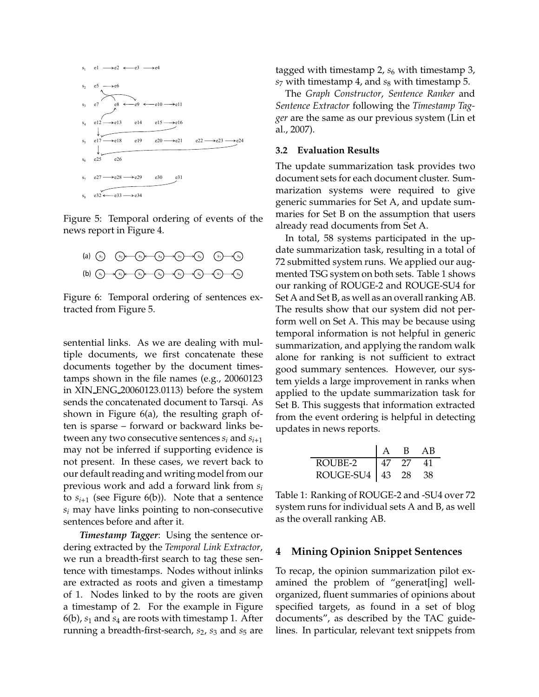

Figure 5: Temporal ordering of events of the news report in Figure 4.



Figure 6: Temporal ordering of sentences extracted from Figure 5.

sentential links. As we are dealing with multiple documents, we first concatenate these documents together by the document timestamps shown in the file names (e.g., 20060123 in XIN ENG 20060123.0113) before the system sends the concatenated document to Tarsqi. As shown in Figure 6(a), the resulting graph often is sparse – forward or backward links between any two consecutive sentences  $s_i$  and  $s_{i+1}$ may not be inferred if supporting evidence is not present. In these cases, we revert back to our default reading and writing model from our previous work and add a forward link from *s<sup>i</sup>* to  $s_{i+1}$  (see Figure 6(b)). Note that a sentence *s<sup>i</sup>* may have links pointing to non-consecutive sentences before and after it.

*Timestamp Tagger*: Using the sentence ordering extracted by the *Temporal Link Extractor*, we run a breadth-first search to tag these sentence with timestamps. Nodes without inlinks are extracted as roots and given a timestamp of 1. Nodes linked to by the roots are given a timestamp of 2. For the example in Figure 6(b), *s*<sup>1</sup> and *s*<sup>4</sup> are roots with timestamp 1. After running a breadth-first-search,  $s_2$ ,  $s_3$  and  $s_5$  are tagged with timestamp 2,  $s_6$  with timestamp 3, *s*<sup>7</sup> with timestamp 4, and *s*<sup>8</sup> with timestamp 5.

The *Graph Constructor*, *Sentence Ranker* and *Sentence Extractor* following the *Timestamp Tagger* are the same as our previous system (Lin et al., 2007).

#### **3.2 Evaluation Results**

The update summarization task provides two document sets for each document cluster. Summarization systems were required to give generic summaries for Set A, and update summaries for Set B on the assumption that users already read documents from Set A.

In total, 58 systems participated in the update summarization task, resulting in a total of 72 submitted system runs. We applied our augmented TSG system on both sets. Table 1 shows our ranking of ROUGE-2 and ROUGE-SU4 for Set A and Set B, as well as an overall ranking AB. The results show that our system did not perform well on Set A. This may be because using temporal information is not helpful in generic summarization, and applying the random walk alone for ranking is not sufficient to extract good summary sentences. However, our system yields a large improvement in ranks when applied to the update summarization task for Set B. This suggests that information extracted from the event ordering is helpful in detecting updates in news reports.

|                        |     | B.  | AB. |
|------------------------|-----|-----|-----|
| ROUBE-2                | -47 | -27 | 41  |
| $ROUGE-SU4 \mid 43$ 28 |     |     |     |

Table 1: Ranking of ROUGE-2 and -SU4 over 72 system runs for individual sets A and B, as well as the overall ranking AB.

#### **4 Mining Opinion Snippet Sentences**

To recap, the opinion summarization pilot examined the problem of "generat[ing] wellorganized, fluent summaries of opinions about specified targets, as found in a set of blog documents", as described by the TAC guidelines. In particular, relevant text snippets from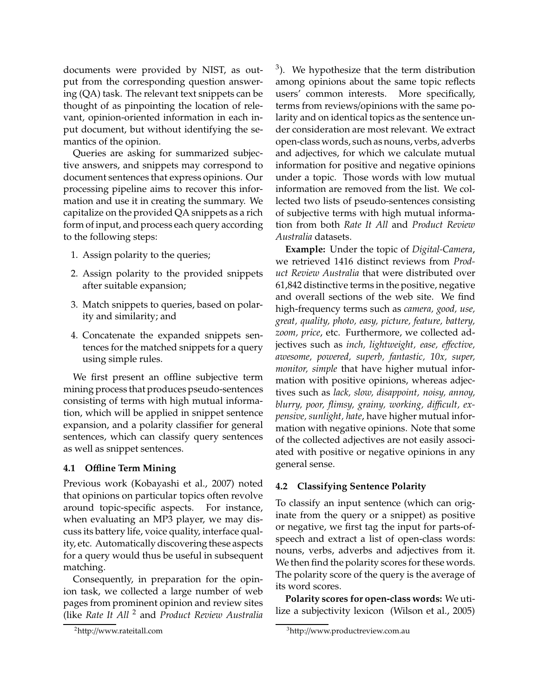documents were provided by NIST, as output from the corresponding question answering (QA) task. The relevant text snippets can be thought of as pinpointing the location of relevant, opinion-oriented information in each input document, but without identifying the semantics of the opinion.

Queries are asking for summarized subjective answers, and snippets may correspond to document sentences that express opinions. Our processing pipeline aims to recover this information and use it in creating the summary. We capitalize on the provided QA snippets as a rich form of input, and process each query according to the following steps:

- 1. Assign polarity to the queries;
- 2. Assign polarity to the provided snippets after suitable expansion;
- 3. Match snippets to queries, based on polarity and similarity; and
- 4. Concatenate the expanded snippets sentences for the matched snippets for a query using simple rules.

We first present an offline subjective term mining process that produces pseudo-sentences consisting of terms with high mutual information, which will be applied in snippet sentence expansion, and a polarity classifier for general sentences, which can classify query sentences as well as snippet sentences.

#### **4.1 O**ffl**ine Term Mining**

Previous work (Kobayashi et al., 2007) noted that opinions on particular topics often revolve around topic-specific aspects. For instance, when evaluating an MP3 player, we may discuss its battery life, voice quality, interface quality, etc. Automatically discovering these aspects for a query would thus be useful in subsequent matching.

Consequently, in preparation for the opinion task, we collected a large number of web pages from prominent opinion and review sites (like *Rate It All* <sup>2</sup> and *Product Review Australia*

 $3$ ). We hypothesize that the term distribution among opinions about the same topic reflects users' common interests. More specifically, terms from reviews/opinions with the same polarity and on identical topics as the sentence under consideration are most relevant. We extract open-class words, such as nouns, verbs, adverbs and adjectives, for which we calculate mutual information for positive and negative opinions under a topic. Those words with low mutual information are removed from the list. We collected two lists of pseudo-sentences consisting of subjective terms with high mutual information from both *Rate It All* and *Product Review Australia* datasets.

**Example:** Under the topic of *Digital-Camera*, we retrieved 1416 distinct reviews from *Product Review Australia* that were distributed over 61,842 distinctive terms in the positive, negative and overall sections of the web site. We find high-frequency terms such as *camera, good, use, great, quality, photo, easy, picture, feature, battery, zoom, price*, etc. Furthermore, we collected adjectives such as *inch, lightweight, ease, e*ff*ective, awesome, powered, superb, fantastic, 10x, super, monitor, simple* that have higher mutual information with positive opinions, whereas adjectives such as *lack, slow, disappoint, noisy, annoy, blurry, poor, flimsy, grainy, working, di*ffi*cult, expensive, sunlight, hate*, have higher mutual information with negative opinions. Note that some of the collected adjectives are not easily associated with positive or negative opinions in any general sense.

## **4.2 Classifying Sentence Polarity**

To classify an input sentence (which can originate from the query or a snippet) as positive or negative, we first tag the input for parts-ofspeech and extract a list of open-class words: nouns, verbs, adverbs and adjectives from it. We then find the polarity scores for these words. The polarity score of the query is the average of its word scores.

**Polarity scores for open-class words:** We utilize a subjectivity lexicon (Wilson et al., 2005)

<sup>2</sup>http://www.rateitall.com

<sup>3</sup>http://www.productreview.com.au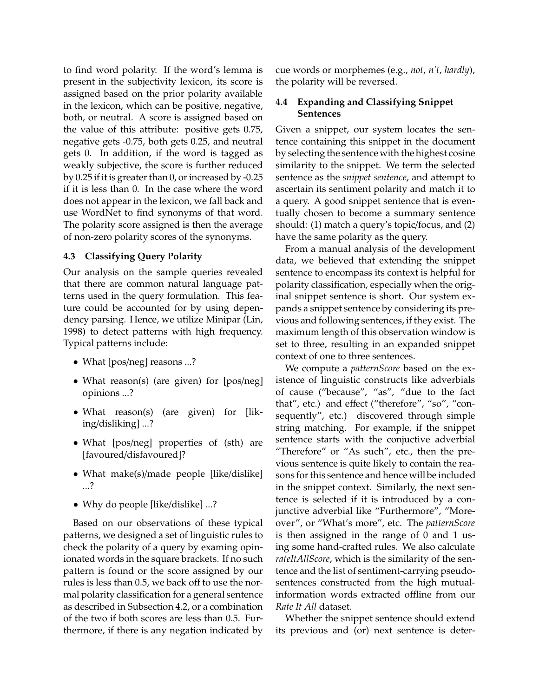to find word polarity. If the word's lemma is present in the subjectivity lexicon, its score is assigned based on the prior polarity available in the lexicon, which can be positive, negative, both, or neutral. A score is assigned based on the value of this attribute: positive gets 0.75, negative gets -0.75, both gets 0.25, and neutral gets 0. In addition, if the word is tagged as weakly subjective, the score is further reduced by 0.25 if it is greater than 0, or increased by -0.25 if it is less than 0. In the case where the word does not appear in the lexicon, we fall back and use WordNet to find synonyms of that word. The polarity score assigned is then the average of non-zero polarity scores of the synonyms.

## **4.3 Classifying Query Polarity**

Our analysis on the sample queries revealed that there are common natural language patterns used in the query formulation. This feature could be accounted for by using dependency parsing. Hence, we utilize Minipar (Lin, 1998) to detect patterns with high frequency. Typical patterns include:

- What [pos/neg] reasons ...?
- What reason(s) (are given) for [pos/neg] opinions ...?
- What reason(s) (are given) for [liking/disliking] ...?
- What [pos/neg] properties of (sth) are [favoured/disfavoured]?
- What make(s)/made people [like/dislike] ...?
- Why do people [like/dislike] ...?

Based on our observations of these typical patterns, we designed a set of linguistic rules to check the polarity of a query by examing opinionated words in the square brackets. If no such pattern is found or the score assigned by our rules is less than 0.5, we back off to use the normal polarity classification for a general sentence as described in Subsection 4.2, or a combination of the two if both scores are less than 0.5. Furthermore, if there is any negation indicated by

cue words or morphemes (e.g., *not*, *n't*, *hardly*), the polarity will be reversed.

# **4.4 Expanding and Classifying Snippet Sentences**

Given a snippet, our system locates the sentence containing this snippet in the document by selecting the sentence with the highest cosine similarity to the snippet. We term the selected sentence as the *snippet sentence*, and attempt to ascertain its sentiment polarity and match it to a query. A good snippet sentence that is eventually chosen to become a summary sentence should: (1) match a query's topic/focus, and (2) have the same polarity as the query.

From a manual analysis of the development data, we believed that extending the snippet sentence to encompass its context is helpful for polarity classification, especially when the original snippet sentence is short. Our system expands a snippet sentence by considering its previous and following sentences, if they exist. The maximum length of this observation window is set to three, resulting in an expanded snippet context of one to three sentences.

We compute a *patternScore* based on the existence of linguistic constructs like adverbials of cause ("because", "as", "due to the fact that", etc.) and effect ("therefore", "so", "consequently", etc.) discovered through simple string matching. For example, if the snippet sentence starts with the conjuctive adverbial "Therefore" or "As such", etc., then the previous sentence is quite likely to contain the reasons for this sentence and hence will be included in the snippet context. Similarly, the next sentence is selected if it is introduced by a conjunctive adverbial like "Furthermore", "Moreover", or "What's more", etc. The *patternScore* is then assigned in the range of 0 and 1 using some hand-crafted rules. We also calculate *rateItAllScore*, which is the similarity of the sentence and the list of sentiment-carrying pseudosentences constructed from the high mutualinformation words extracted offline from our *Rate It All* dataset.

Whether the snippet sentence should extend its previous and (or) next sentence is deter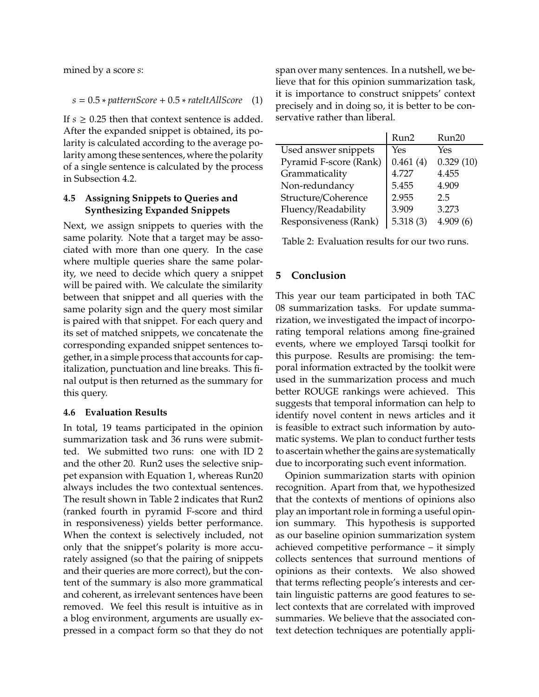mined by a score *s*:

*s* = 0.5 ∗ *patternScore* + 0.5 ∗ *rateItAllScore* (1)

If  $s \geq 0.25$  then that context sentence is added. After the expanded snippet is obtained, its polarity is calculated according to the average polarity among these sentences, where the polarity of a single sentence is calculated by the process in Subsection 4.2.

## **4.5 Assigning Snippets to Queries and Synthesizing Expanded Snippets**

Next, we assign snippets to queries with the same polarity. Note that a target may be associated with more than one query. In the case where multiple queries share the same polarity, we need to decide which query a snippet will be paired with. We calculate the similarity between that snippet and all queries with the same polarity sign and the query most similar is paired with that snippet. For each query and its set of matched snippets, we concatenate the corresponding expanded snippet sentences together, in a simple process that accounts for capitalization, punctuation and line breaks. This final output is then returned as the summary for this query.

## **4.6 Evaluation Results**

In total, 19 teams participated in the opinion summarization task and 36 runs were submitted. We submitted two runs: one with ID 2 and the other 20. Run2 uses the selective snippet expansion with Equation 1, whereas Run20 always includes the two contextual sentences. The result shown in Table 2 indicates that Run2 (ranked fourth in pyramid F-score and third in responsiveness) yields better performance. When the context is selectively included, not only that the snippet's polarity is more accurately assigned (so that the pairing of snippets and their queries are more correct), but the content of the summary is also more grammatical and coherent, as irrelevant sentences have been removed. We feel this result is intuitive as in a blog environment, arguments are usually expressed in a compact form so that they do not span over many sentences. In a nutshell, we believe that for this opinion summarization task, it is importance to construct snippets' context precisely and in doing so, it is better to be conservative rather than liberal.

|                        | Run2     | Run20        |
|------------------------|----------|--------------|
| Used answer snippets   | Yes      | Yes          |
| Pyramid F-score (Rank) | 0.461(4) | 0.329(10)    |
| Grammaticality         | 4.727    | 4.455        |
| Non-redundancy         | 5.455    | 4.909        |
| Structure/Coherence    | 2.955    | 2.5          |
| Fluency/Readability    | 3.909    | 3.273        |
| Responsiveness (Rank)  | 5.318(3) | 4.909<br>(6) |

Table 2: Evaluation results for our two runs.

# **5 Conclusion**

This year our team participated in both TAC 08 summarization tasks. For update summarization, we investigated the impact of incorporating temporal relations among fine-grained events, where we employed Tarsqi toolkit for this purpose. Results are promising: the temporal information extracted by the toolkit were used in the summarization process and much better ROUGE rankings were achieved. This suggests that temporal information can help to identify novel content in news articles and it is feasible to extract such information by automatic systems. We plan to conduct further tests to ascertain whether the gains are systematically due to incorporating such event information.

Opinion summarization starts with opinion recognition. Apart from that, we hypothesized that the contexts of mentions of opinions also play an important role in forming a useful opinion summary. This hypothesis is supported as our baseline opinion summarization system achieved competitive performance – it simply collects sentences that surround mentions of opinions as their contexts. We also showed that terms reflecting people's interests and certain linguistic patterns are good features to select contexts that are correlated with improved summaries. We believe that the associated context detection techniques are potentially appli